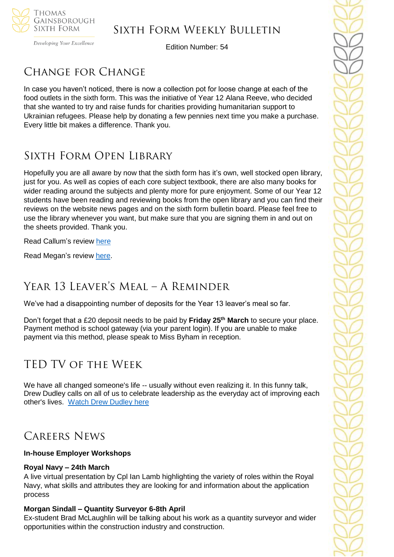

Developing Your Excellence

Edition Number: 54

# Change for Change

In case you haven't noticed, there is now a collection pot for loose change at each of the food outlets in the sixth form. This was the initiative of Year 12 Alana Reeve, who decided that she wanted to try and raise funds for charities providing humanitarian support to Ukrainian refugees. Please help by donating a few pennies next time you make a purchase. Every little bit makes a difference. Thank you.

# Sixth Form Open Library

Hopefully you are all aware by now that the sixth form has it's own, well stocked open library, just for you. As well as copies of each core subject textbook, there are also many books for wider reading around the subjects and plenty more for pure enjoyment. Some of our Year 12 students have been reading and reviewing books from the open library and you can find their reviews on the website news pages and on the sixth form bulletin board. Please feel free to use the library whenever you want, but make sure that you are signing them in and out on the sheets provided. Thank you.

Read Callum's review [here](https://tgschool.net/news/book-review-freddie-mercury-a-life-in-his-own-words)

Read Megan's review [here.](https://tgschool.net/news/book-review-the-story-of-the-british-isles-in-100-places)

# Year 13 Leaver's Meal – A Reminder

We've had a disappointing number of deposits for the Year 13 leaver's meal so far.

Don't forget that a £20 deposit needs to be paid by **Friday 25th March** to secure your place. Payment method is school gateway (via your parent login). If you are unable to make payment via this method, please speak to Miss Byham in reception.

# TED TV of the Week

We have all changed someone's life -- usually without even realizing it. In this funny talk, Drew Dudley calls on all of us to celebrate leadership as the everyday act of improving each other's lives. [Watch Drew Dudley here](https://www.youtube.com/watch?v=uAy6EawKKME)

# Careers News

### **In-house Employer Workshops**

### **Royal Navy – 24th March**

A live virtual presentation by Cpl Ian Lamb highlighting the variety of roles within the Royal Navy, what skills and attributes they are looking for and information about the application process

## **Morgan Sindall – Quantity Surveyor 6-8th April**

Ex-student Brad McLaughlin will be talking about his work as a quantity surveyor and wider opportunities within the construction industry and construction.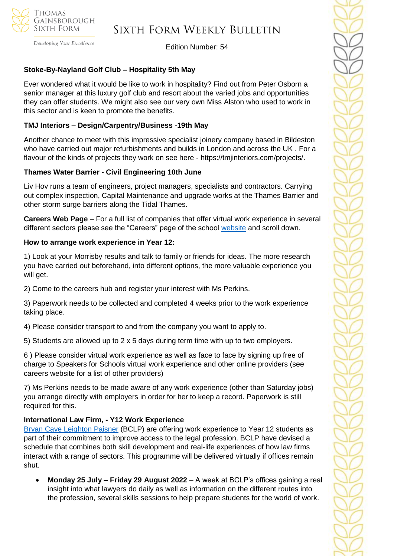

## Sixth Form Weekly Bulletin

Edition Number: 54

## **Stoke-By-Nayland Golf Club – Hospitality 5th May**

Ever wondered what it would be like to work in hospitality? Find out from Peter Osborn a senior manager at this luxury golf club and resort about the varied jobs and opportunities they can offer students. We might also see our very own Miss Alston who used to work in this sector and is keen to promote the benefits.

### **TMJ Interiors – Design/Carpentry/Business -19th May**

Another chance to meet with this impressive specialist joinery company based in Bildeston who have carried out major refurbishments and builds in London and across the UK . For a flavour of the kinds of projects they work on see here - https://tmjinteriors.com/projects/.

### **Thames Water Barrier - Civil Engineering 10th June**

Liv Hov runs a team of engineers, project managers, specialists and contractors. Carrying out complex inspection, Capital Maintenance and upgrade works at the Thames Barrier and other storm surge barriers along the Tidal Thames.

**Careers Web Page** – For a full list of companies that offer virtual work experience in several different sectors please see the "Careers" page of the school [website](https://tgschool.net/careers) and scroll down.

#### **How to arrange work experience in Year 12:**

1) Look at your Morrisby results and talk to family or friends for ideas. The more research you have carried out beforehand, into different options, the more valuable experience you will get.

2) Come to the careers hub and register your interest with Ms Perkins.

3) Paperwork needs to be collected and completed 4 weeks prior to the work experience taking place.

4) Please consider transport to and from the company you want to apply to.

5) Students are allowed up to 2 x 5 days during term time with up to two employers.

6 ) Please consider virtual work experience as well as face to face by signing up free of charge to Speakers for Schools virtual work experience and other online providers (see careers website for a list of other providers)

7) Ms Perkins needs to be made aware of any work experience (other than Saturday jobs) you arrange directly with employers in order for her to keep a record. Paperwork is still required for this.

### **International Law Firm, - Y12 Work Experience**

[Bryan Cave Leighton Paisner](https://nam12.safelinks.protection.outlook.com/?url=https%3A%2F%2Fmykindacrowd.us6.list-manage.com%2Ftrack%2Fclick%3Fu%3Ded0d3c8306048bd1aa89fb8aa%26id%3Dd4b5888e23%26e%3D6a71ef3d64&data=04%7C01%7C%7Ca42d6fcdb3294051de3a08da0035846a%7C84df9e7fe9f640afb435aaaaaaaaaaaa%7C1%7C0%7C637822527094728893%7CUnknown%7CTWFpbGZsb3d8eyJWIjoiMC4wLjAwMDAiLCJQIjoiV2luMzIiLCJBTiI6Ik1haWwiLCJXVCI6Mn0%3D%7C3000&sdata=ZDGSKFlvIYYjNkmN9S6ZheP1SMAkGXRalT2hYqJWzmM%3D&reserved=0) (BCLP) are offering work experience to Year 12 students as part of their commitment to improve access to the legal profession. BCLP have devised a schedule that combines both skill development and real-life experiences of how law firms interact with a range of sectors. This programme will be delivered virtually if offices remain shut.

• **Monday 25 July – Friday 29 August 2022** – A week at BCLP's offices gaining a real insight into what lawyers do daily as well as information on the different routes into the profession, several skills sessions to help prepare students for the world of work.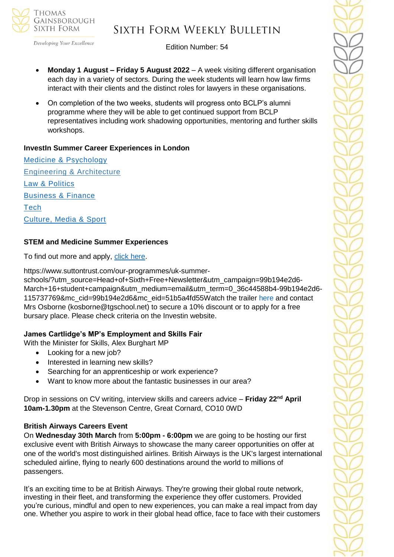

## Sixth Form Weekly Bulletin

Edition Number: 54

- **Monday 1 August – Friday 5 August 2022** A week visiting different organisation each day in a variety of sectors. During the week students will learn how law firms interact with their clients and the distinct roles for lawyers in these organisations.
- On completion of the two weeks, students will progress onto BCLP's alumni programme where they will be able to get continued support from BCLP representatives including work shadowing opportunities, mentoring and further skills workshops.

### **InvestIn Summer Career Experiences in London**

[Medicine & Psychology](https://investin.org/pages/choose-your-medicine-summer-experience) [Engineering & Architecture](https://investin.org/pages/choose-your-engineering-architecture-summer-experience) [Law & Politics](https://investin.org/pages/choose-your-law-politics-summer-experience) [Business & Finance](https://investin.org/pages/choose-your-business-finance-summer-experience) **[Tech](https://investin.org/pages/choose-your-tech-summer-experience)** [Culture, Media & Sport](https://investin.org/pages/choose-your-culture-media-sport-summer-experience)

### **STEM and Medicine Summer Experiences**

To find out more and apply, [click here.](https://investin.org/pages/choose-your-stem-summer-experience?utm_source=UK+SCHOOLS+MASTER&utm_campaign=a31ab330e2-bankersschoolmar_COPY_01&utm_medium=email&utm_term=0_bfccb03bbd-a31ab330e2-137697031&mc_cid=a31ab330e2&mc_eid=894e4199ae)

https://www.suttontrust.com/our-programmes/uk-summer-

schools/?utm\_source=Head+of+Sixth+Free+Newsletter&utm\_campaign=99b194e2d6-March+16+student+campaign&utm\_medium=email&utm\_term=0\_36c44588b4-99b194e2d6- 115737769&mc\_cid=99b194e2d6&mc\_eid=51b5a4fd55Watch the trailer [here](https://investin.org/blogs/news/summer-experiences-2022?utm_source=UK+SCHOOLS+MASTER&utm_campaign=b369a1e6b8-bankersschoolmar_COPY_01&utm_medium=email&utm_term=0_bfccb03bbd-b369a1e6b8-139395613&mc_cid=b369a1e6b8&mc_eid=0dcddf7ff6) and contact Mrs Osborne (kosborne@tgschool.net) to secure a 10% discount or to apply for a free bursary place. Please check criteria on the Investin website.

#### **James Cartlidge's MP's Employment and Skills Fair**

With the Minister for Skills, Alex Burghart MP

- Looking for a new job?
- Interested in learning new skills?
- Searching for an apprenticeship or work experience?
- Want to know more about the fantastic businesses in our area?

Drop in sessions on CV writing, interview skills and careers advice – **Friday 22nd April 10am-1.30pm** at the Stevenson Centre, Great Cornard, CO10 0WD

#### **British Airways Careers Event**

On **Wednesday 30th March** from **5:00pm - 6:00pm** we are going to be hosting our first exclusive event with British Airways to showcase the many career opportunities on offer at one of the world's most distinguished airlines. British Airways is the UK's largest international scheduled airline, flying to nearly 600 destinations around the world to millions of passengers.

It's an exciting time to be at British Airways. They're growing their global route network, investing in their fleet, and transforming the experience they offer customers. Provided you're curious, mindful and open to new experiences, you can make a real impact from day one. Whether you aspire to work in their global head office, face to face with their customers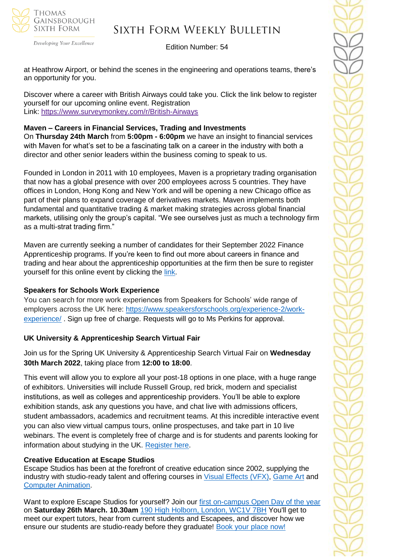

Developing Your Excellence

Edition Number: 54

at Heathrow Airport, or behind the scenes in the engineering and operations teams, there's an opportunity for you.

Discover where a career with British Airways could take you. Click the link below to register yourself for our upcoming online event. Registration Link: <https://www.surveymonkey.com/r/British-Airways>

### **Maven – Careers in Financial Services, Trading and Investments**

On **Thursday 24th March** from **5:00pm - 6:00pm** we have an insight to financial services with Maven for what's set to be a fascinating talk on a career in the industry with both a director and other senior leaders within the business coming to speak to us.

Founded in London in 2011 with 10 employees, Maven is a proprietary trading organisation that now has a global presence with over 200 employees across 5 countries. They have offices in London, Hong Kong and New York and will be opening a new Chicago office as part of their plans to expand coverage of derivatives markets. Maven implements both fundamental and quantitative trading & market making strategies across global financial markets, utilising only the group's capital. "We see ourselves just as much a technology firm as a multi-strat trading firm."

Maven are currently seeking a number of candidates for their September 2022 Finance Apprenticeship programs. If you're keen to find out more about careers in finance and trading and hear about the apprenticeship opportunities at the firm then be sure to register yourself for this online event by clicking the [link.](https://www.surveymonkey.com/r/Maven-Event)

#### **Speakers for Schools Work Experience**

You can search for more work experiences from Speakers for Schools' wide range of employers across the UK here: [https://www.speakersforschools.org/experience-2/work](https://www.speakersforschools.org/experience-2/work-experience/)[experience/](https://www.speakersforschools.org/experience-2/work-experience/) . Sign up free of charge. Requests will go to Ms Perkins for approval.

### **UK University & Apprenticeship Search Virtual Fair**

Join us for the Spring UK University & Apprenticeship Search Virtual Fair on **Wednesday 30th March 2022**, taking place from **12:00 to 18:00**.

This event will allow you to explore all your post-18 options in one place, with a huge range of exhibitors. Universities will include Russell Group, red brick, modern and specialist institutions, as well as colleges and apprenticeship providers. You'll be able to explore exhibition stands, ask any questions you have, and chat live with admissions officers, student ambassadors, academics and recruitment teams. At this incredible interactive event you can also view virtual campus tours, online prospectuses, and take part in 10 live webinars. The event is completely free of charge and is for students and parents looking for information about studying in the UK. [Register here.](https://ukunisearch.vfairs.com/en/registration)

### **Creative Education at Escape Studios**

Escape Studios has been at the forefront of creative education since 2002, supplying the industry with studio-ready talent and offering courses in [Visual Effects \(VFX\),](https://nam12.safelinks.protection.outlook.com/?url=https%3A%2F%2Fsuccessatschool.us3.list-manage.com%2Ftrack%2Fclick%3Fu%3D2c038531b25876a2c7c9cf8b1%26id%3D108fc5738f%26e%3D530f418f3c&data=04%7C01%7C%7C600f2684f1db4165235b08da01a5a9c1%7C84df9e7fe9f640afb435aaaaaaaaaaaa%7C1%7C0%7C637824108268138894%7CUnknown%7CTWFpbGZsb3d8eyJWIjoiMC4wLjAwMDAiLCJQIjoiV2luMzIiLCJBTiI6Ik1haWwiLCJXVCI6Mn0%3D%7C3000&sdata=x7uxFAdUnxh5R8UaqSVb4qTS0Ht90DSasdrgOz28Msc%3D&reserved=0) [Game Art](https://nam12.safelinks.protection.outlook.com/?url=https%3A%2F%2Fsuccessatschool.us3.list-manage.com%2Ftrack%2Fclick%3Fu%3D2c038531b25876a2c7c9cf8b1%26id%3D375549852a%26e%3D530f418f3c&data=04%7C01%7C%7C600f2684f1db4165235b08da01a5a9c1%7C84df9e7fe9f640afb435aaaaaaaaaaaa%7C1%7C0%7C637824108268138894%7CUnknown%7CTWFpbGZsb3d8eyJWIjoiMC4wLjAwMDAiLCJQIjoiV2luMzIiLCJBTiI6Ik1haWwiLCJXVCI6Mn0%3D%7C3000&sdata=xYngXhsw2Q%2BFeG8y7S5ABuUjiv2GW%2B8n%2Fda0Up2xuD8%3D&reserved=0) and [Computer Animation.](https://nam12.safelinks.protection.outlook.com/?url=https%3A%2F%2Fsuccessatschool.us3.list-manage.com%2Ftrack%2Fclick%3Fu%3D2c038531b25876a2c7c9cf8b1%26id%3D76c6cadcaa%26e%3D530f418f3c&data=04%7C01%7C%7C600f2684f1db4165235b08da01a5a9c1%7C84df9e7fe9f640afb435aaaaaaaaaaaa%7C1%7C0%7C637824108268138894%7CUnknown%7CTWFpbGZsb3d8eyJWIjoiMC4wLjAwMDAiLCJQIjoiV2luMzIiLCJBTiI6Ik1haWwiLCJXVCI6Mn0%3D%7C3000&sdata=VnwfAD4pH2hq%2B2w80GU3qrK5lFi2ciUy1anjN0NyO14%3D&reserved=0)

Want to explore Escape Studios for yourself? Join our [first on-campus Open Day of the year](https://nam12.safelinks.protection.outlook.com/?url=https%3A%2F%2Fsuccessatschool.us3.list-manage.com%2Ftrack%2Fclick%3Fu%3D2c038531b25876a2c7c9cf8b1%26id%3Dfe22de5fee%26e%3D530f418f3c&data=04%7C01%7C%7C600f2684f1db4165235b08da01a5a9c1%7C84df9e7fe9f640afb435aaaaaaaaaaaa%7C1%7C0%7C637824108268138894%7CUnknown%7CTWFpbGZsb3d8eyJWIjoiMC4wLjAwMDAiLCJQIjoiV2luMzIiLCJBTiI6Ik1haWwiLCJXVCI6Mn0%3D%7C3000&sdata=sxQqdc9Y2QPcIJiD7lS1HM3cuQKQUklshWFSX2njReY%3D&reserved=0) on **Saturday 26th March. 10.30am** [190 High Holborn, London, WC1V 7BH](https://nam12.safelinks.protection.outlook.com/?url=https%3A%2F%2Fsuccessatschool.us3.list-manage.com%2Ftrack%2Fclick%3Fu%3D2c038531b25876a2c7c9cf8b1%26id%3D180a33dfa8%26e%3D530f418f3c&data=04%7C01%7C%7C600f2684f1db4165235b08da01a5a9c1%7C84df9e7fe9f640afb435aaaaaaaaaaaa%7C1%7C0%7C637824108268295127%7CUnknown%7CTWFpbGZsb3d8eyJWIjoiMC4wLjAwMDAiLCJQIjoiV2luMzIiLCJBTiI6Ik1haWwiLCJXVCI6Mn0%3D%7C3000&sdata=VVCrG1BJYnT3f50bxG1f%2BORc9ZV%2FITwLvC0rDffDPmc%3D&reserved=0) You'll get to meet our expert tutors, hear from current students and Escapees, and discover how we ensure our students are studio-ready before they graduate! [Book your place now!](https://www.pearsoncollegelondon.ac.uk/escape-studios/visit-us/events/undergraduate-open-days.html?utm_source=success-at-school&utm_medium=email&utm_campaign=opendays2022_esc_ug&utm_content=success-at-school_esc_march&goal=0_65c6d67e71-32878cfafb-212136547&mc_cid=32878cfafb&mc_eid=530f418f3c)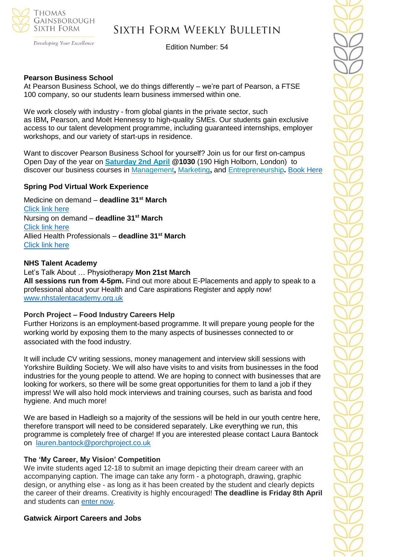

Developing Your Excellence

Edition Number: 54

### **Pearson Business School**

At Pearson Business School, we do things differently – we're part of Pearson, a FTSE 100 company, so our students learn business immersed within one.

We work closely with industry - from global giants in the private sector, such as IBM**,** Pearson, and Moët Hennessy to high-quality SMEs. Our students gain exclusive access to our talent development programme, including guaranteed internships, employer workshops, and our variety of start-ups in residence.

Want to discover Pearson Business School for yourself? Join us for our first [on-campus](https://successatschool.us3.list-manage.com/track/click?u=2c038531b25876a2c7c9cf8b1&id=d1ba79389d&e=530f418f3c) [Open](https://successatschool.us3.list-manage.com/track/click?u=2c038531b25876a2c7c9cf8b1&id=d1ba79389d&e=530f418f3c) Day of the year on **[Saturday](https://successatschool.us3.list-manage.com/track/click?u=2c038531b25876a2c7c9cf8b1&id=b3effc76e1&e=530f418f3c) 2nd April @1030** (190 High Holborn, London) to discover our business courses in [Management](https://successatschool.us3.list-manage.com/track/click?u=2c038531b25876a2c7c9cf8b1&id=c92ac9f9e4&e=530f418f3c)**,** [Marketing](https://successatschool.us3.list-manage.com/track/click?u=2c038531b25876a2c7c9cf8b1&id=355b311ed3&e=530f418f3c)**,** and [Entrepreneurship](https://successatschool.us3.list-manage.com/track/click?u=2c038531b25876a2c7c9cf8b1&id=50085a315d&e=530f418f3c)**.** [Book Here](https://www.pearsoncollegelondon.ac.uk/pearson-business-school/visit-us/events/undergraduate-open-days.html?utm_source=successatschool&utm_medium=email_influencer&utm_campaign=opendays2022_pbs_ug&utm_content=successatschool_pbs_march&goal=0_65c6d67e71-dcbab7423a-212136547&mc_cid=dcbab7423a&mc_eid=530f418f3c)

#### **Spring Pod Virtual Work Experience**

Medicine on demand – **deadline 31st March** [Click link here](https://www.springpod.com/virtual-work-experience/health-education-england-medicine-online-work-related-learning?utm_source=febpdf&utm_medium=email&utm_campaign=vwex&utm_term=vwex_febpdf&utm_content=vwex_febpdf_medicine_hee) Nursing on demand – **deadline 31st March** [Click link here](https://www.springpod.com/virtual-work-experience/health-education-england-nursing-online-work-related-learning?utm_source=febpdf&utm_medium=email&utm_campaign=vwex&utm_term=vwex_febpdf&utm_content=vwex_febpdf_nursing_hee) Allied Health Professionals – **deadline 31st March** [Click link here](https://www.springpod.com/virtual-work-experience/allied-health-professional-online-work-related-learning?utm_source=febpdf&utm_medium=email&utm_campaign=vwex&utm_term=vwex_febpdf&utm_content=vwex_febpdf_ahp_on_demand)

#### **NHS Talent Academy**

Let's Talk About … Physiotherapy **Mon 21st March All sessions run from 4-5pm.** Find out more about E-Placements and apply to speak to a professional about your Health and Care aspirations Register and apply now! [www.nhstalentacademy.org.uk](file://///tgs-sr-data/Staff%20Shared-N/Sixth%20Form/Admin/Weekly%20Bulletin/www.nhstalentacademy.org.uk)

#### **Porch Project – Food Industry Careers Help**

Further Horizons is an employment-based programme. It will prepare young people for the working world by exposing them to the many aspects of businesses connected to or associated with the food industry.

It will include CV writing sessions, money management and interview skill sessions with Yorkshire Building Society. We will also have visits to and visits from businesses in the food industries for the young people to attend. We are hoping to connect with businesses that are looking for workers, so there will be some great opportunities for them to land a job if they impress! We will also hold mock interviews and training courses, such as barista and food hygiene. And much more!

We are based in Hadleigh so a majority of the sessions will be held in our youth centre here. therefore transport will need to be considered separately. Like everything we run, this programme is completely free of charge! If you are interested please contact Laura Bantock on [lauren.bantock@porchproject.co.uk](mailto:lauren.bantock@porchproject.co.uk)

#### **The 'My Career, My Vision' Competition**

We invite students aged 12-18 to submit an image depicting their dream career with an accompanying caption. The image can take any form - a photograph, drawing, graphic design, or anything else - as long as it has been created by the student and clearly depicts the career of their dreams. Creativity is highly encouraged! **The deadline is Friday 8th April**  and students can [enter now.](https://investin.org/blogs/news/careers-week-competition?utm_source=UK+SCHOOLS+MASTER&utm_campaign=9d91cb935c-bankersschoolmar_COPY_01&utm_medium=email&utm_term=0_bfccb03bbd-9d91cb935c-137697031&mc_cid=9d91cb935c&mc_eid=894e4199ae)

**Gatwick Airport Careers and Jobs**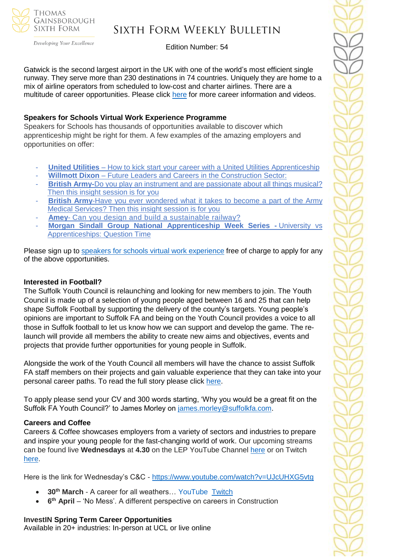

# Sixth Form Weekly Bulletin

Edition Number: 54

Gatwick is the second largest airport in the UK with one of the world's most efficient single runway. They serve more than 230 destinations in 74 countries. Uniquely they are home to a mix of airline operators from scheduled to low-cost and charter airlines. There are a multitude of career opportunities. Please click [here](https://learnliveuk.com/partner/gatwick-airport-careers/) for more career information and videos.

## **Speakers for Schools Virtual Work Experience Programme**

Speakers for Schools has thousands of opportunities available to discover which apprenticeship might be right for them. A few examples of the amazing employers and opportunities on offer:

- **United Utilities** How to kick start your career with a United Utilities [Apprenticeship](https://www.s4snextgen.org/Opportunities/View/id/2416)
- **Willmott Dixon** Future Leaders and Careers in the [Construction](https://www.s4snextgen.org/Opportunities/View/id/2536) Sector:
- **British Army-**Do you play an instrument and are [passionate](http://www.s4snextgen.org/Opportunities/View/id/2513) about all things musical? Then this insight [session](http://www.s4snextgen.org/Opportunities/View/id/2513) is for you
- **British Army-Have you ever [wondered](https://www.s4snextgen.org/Opportunities/View/id/2514) what it takes to become a part of the Army** Medical [Services?](https://www.s4snextgen.org/Opportunities/View/id/2514) Then this insight session is for you
- Amey- Can you design and build a [sustainable](http://www.s4snextgen.org/Opportunities/View/id/2189) railway?
- **Morgan Sindall Group National [Apprenticeship](http://www.s4snextgen.org/Opportunities/View/id/2506) Week Series -** University vs [Apprenticeships:](http://www.s4snextgen.org/Opportunities/View/id/2506) Question Time

Please sign up to speakers for schools virtual work [experience](https://www.speakersforschools.org/experience-2/) free of charge to apply for any of the above opportunities.

## **Interested in Football?**

The Suffolk Youth Council is relaunching and looking for new members to join. The Youth Council is made up of a selection of young people aged between 16 and 25 that can help shape Suffolk Football by supporting the delivery of the county's targets. Young people's opinions are important to Suffolk FA and being on the Youth Council provides a voice to all those in Suffolk football to let us know how we can support and develop the game. The relaunch will provide all members the ability to create new aims and objectives, events and projects that provide further opportunities for young people in Suffolk.

Alongside the work of the Youth Council all members will have the chance to assist Suffolk FA staff members on their projects and gain valuable experience that they can take into your personal career paths. To read the full story please click [here.](https://www.suffolkfa.com/news/2022/feb/11/sfa-youth-council-is-relaunching)

To apply please send your CV and 300 words starting, 'Why you would be a great fit on the Suffolk FA Youth Council?' to James Morley on [james.morley@suffolkfa.com.](mailto:james.morley@suffolkfa.com)

## **Careers and Coffee**

Careers & Coffee showcases employers from a variety of sectors and industries to prepare and inspire your young people for the fast-changing world of work. Our upcoming streams can be found live **Wednesdays** at **4.30** on the LEP YouTube Channel [here](https://emea01.safelinks.protection.outlook.com/?url=https%3A%2F%2Fwww.youtube.com%2Fchannel%2FUCMQWGt6SdsGQF-KJCq7JTwQ&data=04%7C01%7C%7C4c6c44ecc3fb4f20ff7908d9db3b3618%7C84df9e7fe9f640afb435aaaaaaaaaaaa%7C1%7C0%7C637781869767327633%7CUnknown%7CTWFpbGZsb3d8eyJWIjoiMC4wLjAwMDAiLCJQIjoiV2luMzIiLCJBTiI6Ik1haWwiLCJXVCI6Mn0%3D%7C3000&sdata=jcnjPssNA6CGryLNqRJMQzfb7UnLUOJ3WUdL%2FnQhejw%3D&reserved=0) or on Twitch [here.](https://emea01.safelinks.protection.outlook.com/?url=https%3A%2F%2Fwww.twitch.tv%2FNewAngliaEAN&data=04%7C01%7C%7C4c6c44ecc3fb4f20ff7908d9db3b3618%7C84df9e7fe9f640afb435aaaaaaaaaaaa%7C1%7C0%7C637781869767327633%7CUnknown%7CTWFpbGZsb3d8eyJWIjoiMC4wLjAwMDAiLCJQIjoiV2luMzIiLCJBTiI6Ik1haWwiLCJXVCI6Mn0%3D%7C3000&sdata=%2BC%2F2NVk7rCN9nN0gPB86AdBavn%2BdywBz%2FR1nbIo0XG8%3D&reserved=0)

Here is the link for Wednesday's C&C - [https://www.youtube.com/watch?v=UJcUHXG5vtg](https://emea01.safelinks.protection.outlook.com/?url=https%3A%2F%2Fwww.youtube.com%2Fwatch%3Fv%3DUJcUHXG5vtg&data=04%7C01%7C%7C4c6c44ecc3fb4f20ff7908d9db3b3618%7C84df9e7fe9f640afb435aaaaaaaaaaaa%7C1%7C0%7C637781869767327633%7CUnknown%7CTWFpbGZsb3d8eyJWIjoiMC4wLjAwMDAiLCJQIjoiV2luMzIiLCJBTiI6Ik1haWwiLCJXVCI6Mn0%3D%7C3000&sdata=QmwZMfWApfz3NYzqKGZdNMm6DnYKNSnpPCkWXQ5qlMw%3D&reserved=0)

- **30th March** A career for all weathers… YouTube [Twitch](https://emea01.safelinks.protection.outlook.com/?url=https%3A%2F%2Fwww.twitch.tv%2FNewAngliaEAN&data=04%7C01%7C%7C4c6c44ecc3fb4f20ff7908d9db3b3618%7C84df9e7fe9f640afb435aaaaaaaaaaaa%7C1%7C0%7C637781869767327633%7CUnknown%7CTWFpbGZsb3d8eyJWIjoiMC4wLjAwMDAiLCJQIjoiV2luMzIiLCJBTiI6Ik1haWwiLCJXVCI6Mn0%3D%7C3000&sdata=%2BC%2F2NVk7rCN9nN0gPB86AdBavn%2BdywBz%2FR1nbIo0XG8%3D&reserved=0)
- **6<sup>th</sup> April** 'No Mess'. A different perspective on careers in Construction

## **InvestIN Spring Term Career Opportunities**

Available in 20+ industries: In-person at UCL or live online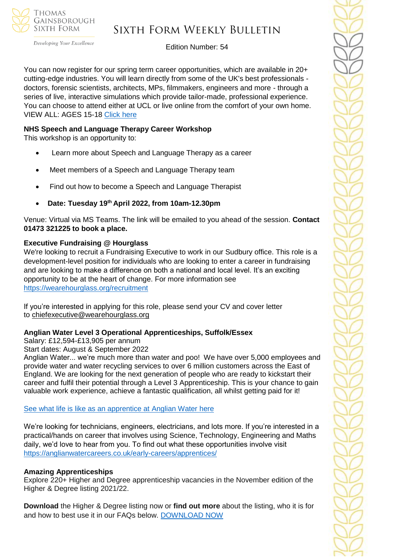

# Sixth Form Weekly Bulletin

Edition Number: 54

You can now register for our spring term career opportunities, which are available in 20+ cutting-edge industries. You will learn directly from some of the UK's best professionals doctors, forensic scientists, architects, MPs, filmmakers, engineers and more - through a series of live, interactive simulations which provide tailor-made, professional experience. You can choose to attend either at UCL or live online from the comfort of your own home. VIEW ALL: AGES 15-18 [Click here](https://investin.org/pages/spring-term-career-programmes-15-18?utm_source=UK+SCHOOLS+MASTER&utm_campaign=3b31a67736-bankersschoolmar_COPY_01&utm_medium=email&utm_term=0_bfccb03bbd-3b31a67736-137697031&mc_cid=3b31a67736&mc_eid=894e4199ae)

### **NHS Speech and Language Therapy Career Workshop**

This workshop is an opportunity to:

- Learn more about Speech and Language Therapy as a career
- Meet members of a Speech and Language Therapy team
- Find out how to become a Speech and Language Therapist
- **Date: Tuesday 19th April 2022, from 10am-12.30pm**

Venue: Virtual via MS Teams. The link will be emailed to you ahead of the session. **Contact 01473 321225 to book a place.**

## **Executive Fundraising @ Hourglass**

We're looking to recruit a Fundraising Executive to work in our Sudbury office. This role is a development-level position for individuals who are looking to enter a career in fundraising and are looking to make a difference on both a national and local level. It's an exciting opportunity to be at the heart of change. For more information see <https://wearehourglass.org/recruitment>

If you're interested in applying for this role, please send your CV and cover letter to [chiefexecutive@wearehourglass.org](mailto:chiefexecutive@wearehourglass.org)

### **Anglian Water Level 3 Operational Apprenticeships, Suffolk/Essex**

Salary: £12,594-£13,905 per annum

Start dates: August & September 2022

Anglian Water... we're much more than water and poo! We have over 5,000 employees and provide water and water recycling services to over 6 million customers across the East of England. We are looking for the next generation of people who are ready to kickstart their career and fulfil their potential through a Level 3 Apprenticeship. This is your chance to gain valuable work experience, achieve a fantastic qualification, all whilst getting paid for it!

### [See what life is like as an apprentice at Anglian](https://youtu.be/ocHab1ZNOjA) Water here

We're looking for technicians, engineers, electricians, and lots more. If you're interested in a practical/hands on career that involves using Science, Technology, Engineering and Maths daily, we'd love to hear from you. To find out what these opportunities involve visit <https://anglianwatercareers.co.uk/early-careers/apprentices/>

### **Amazing Apprenticeships**

Explore 220+ Higher and Degree apprenticeship vacancies in the November edition of the Higher & Degree listing 2021/22.

**Download** the Higher & Degree listing now or **find out more** about the listing, who it is for and how to best use it in our FAQs below. [DOWNLOAD NOW](https://amazingapprenticeships.com/resource/higher-and-degree-listing/)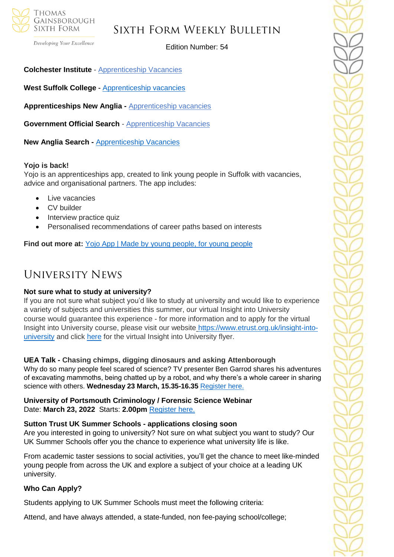

Developing Your Excellence

Edition Number: 54

**Colchester Institute** - Apprenticeship Vacancies

**West Suffolk College -** [Apprenticeship vacancies](https://www.wsc.ac.uk/find-a-course/apprenticeships)

**Apprenticeships New Anglia -** [Apprenticeship vacancies](https://www.apprenticeshipsnewanglia.co.uk/)

**Government Official Search - [Apprenticeship Vacancies](https://www.gov.uk/apply-apprenticeship)** 

**New Anglia Search -** [Apprenticeship Vacancies](https://v2.apprenticeshipsnewanglia.co.uk/apprenticeships/search/?s_query=&s_location=&s_distance=30&s_trade=0&s_apprenticeshipLevel=0&prop_View=list&prop_sort=created+desc)

#### **Yojo is back!**

Yojo is an apprenticeships app, created to link young people in Suffolk with vacancies, advice and organisational partners. The app includes:

- Live vacancies
- CV builder
- Interview practice quiz
- Personalised recommendations of career paths based on interests

Find out more at: **Yojo App | Made by young people**, for young people

## University News

#### **Not sure what to study at university?**

If you are not sure what subject you'd like to study at university and would like to experience a variety of subjects and universities this summer, our virtual Insight into University course would guarantee this experience - for more information and to apply for the virtual Insight into University course, please visit our website [https://www.etrust.org.uk/insight-into](https://www.etrust.org.uk/insight-into-university)[university](https://www.etrust.org.uk/insight-into-university) and click [here](https://dd233f6a-c442-4437-a8e1-9e42987b6020.filesusr.com/ugd/4517c8_fcb7add322ae4a1eab2156347e1f2442.pdf) for the virtual Insight into University flyer.

#### **UEA Talk - Chasing chimps, digging dinosaurs and asking Attenborough**

Why do so many people feel scared of science? TV presenter Ben Garrod shares his adventures of excavating mammoths, being chatted up by a robot, and why there's a whole career in sharing science with others. **Wednesday 23 March, 15.35-16.35** [Register here.](https://www.channeltalent.co.uk/event/science-sharing-science-chasing-chimps-digging-dinosaurs-asking-attenborough-with-professor-ben-garrod-author-award-winning-bbc-presenter-from-university-of-east-anglia/)

**University of Portsmouth Criminology / Forensic Science Webinar** Date: **March 23, 2022** Starts: **2.00pm** [Register](https://us06web.zoom.us/webinar/register/WN_8vh0bDuURv24gz9OpINrXg?utm_source=Head+of+Sixth+Free+Newsletter&utm_campaign=99b194e2d6-March+16+student+campaign&utm_medium=email&utm_term=0_36c44588b4-99b194e2d6-115737769&mc_cid=99b194e2d6&mc_eid=51b5a4fd55) here.

#### **Sutton Trust UK Summer Schools - applications closing soon**

Are you interested in going to university? Not sure on what subject you want to study? Our UK Summer Schools offer you the chance to experience what university life is like.

From academic taster sessions to social activities, you'll get the chance to meet like-minded young people from across the UK and explore a subject of your choice at a leading UK university.

#### **Who Can Apply?**

Students applying to UK Summer Schools must meet the following criteria:

Attend, and have always attended, a state-funded, non fee-paying school/college;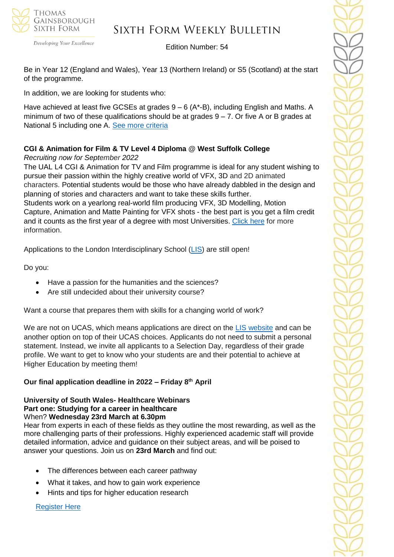

# Sixth Form Weekly Bulletin

Edition Number: 54

Be in Year 12 (England and Wales), Year 13 (Northern Ireland) or S5 (Scotland) at the start of the programme.

In addition, we are looking for students who:

Have achieved at least five GCSEs at grades  $9-6$  (A\*-B), including English and Maths. A minimum of two of these qualifications should be at grades  $9 - 7$ . Or five A or B grades at National 5 including one A. See more [criteria](https://www.suttontrust.com/our-programmes/uk-summer-schools/?utm_source=Head+of+Sixth+Free+Newsletter&utm_campaign=99b194e2d6-March+16+student+campaign&utm_medium=email&utm_term=0_36c44588b4-99b194e2d6-115737769&mc_cid=99b194e2d6&mc_eid=51b5a4fd55)

## **CGI & Animation for Film & TV Level 4 Diploma @ West Suffolk College**

*Recruiting now for September 2022*

The UAL L4 CGI & Animation for TV and Film programme is ideal for any student wishing to pursue their passion within the highly creative world of VFX, 3D and 2D animated characters. Potential students would be those who have already dabbled in the design and planning of stories and characters and want to take these skills further.

Students work on a yearlong real-world film producing VFX, 3D Modelling, Motion Capture, Animation and Matte Painting for VFX shots - the best part is you get a film credit and it counts as the first year of a degree with most Universities. [Click here](https://www.wsc.ac.uk/courses/level-4-professional-diplomas/754-level-4/9768-cgi-and-animation-for-tv-and-film-diploma-level-4-22vf394099) for more information.

Applications to the London Interdisciplinary School [\(LIS\)](https://emea01.safelinks.protection.outlook.com/?url=https%3A%2F%2Fschools.tecl.co.uk%2Feducationcompany5lz%2Flz.aspx%3Fp1%3DMuzDU3NjA0MjA1Uzk0NzE6NkYwQjdEMTg3QzdEMTdCODZFRjcxMENBNDUyNEYwN0M%253d-%26CC%3D%26w%3D5511&data=04%7C01%7C%7C39fcd5037de64b1f134108d9db3b46e6%7C84df9e7fe9f640afb435aaaaaaaaaaaa%7C1%7C0%7C637781869903019097%7CUnknown%7CTWFpbGZsb3d8eyJWIjoiMC4wLjAwMDAiLCJQIjoiV2luMzIiLCJBTiI6Ik1haWwiLCJXVCI6Mn0%3D%7C3000&sdata=pgQvu53gpi%2Fe%2F8%2BCNPs9L2gikEtVgERhZ9O0%2FbkIqeQ%3D&reserved=0) are still open!

Do you:

- Have a passion for the humanities and the sciences?
- Are still undecided about their university course?

Want a course that prepares them with skills for a changing world of work?

We are not on UCAS, which means applications are direct on the [LIS website](https://emea01.safelinks.protection.outlook.com/?url=https%3A%2F%2Fschools.tecl.co.uk%2Feducationcompany5lz%2Flz.aspx%3Fp1%3DMuzDU3NjA0MjA1Uzk0NzE6NkYwQjdEMTg3QzdEMTdCODZFRjcxMENBNDUyNEYwN0M%253d-%26CC%3D%26w%3D8515&data=04%7C01%7C%7C39fcd5037de64b1f134108d9db3b46e6%7C84df9e7fe9f640afb435aaaaaaaaaaaa%7C1%7C0%7C637781869903019097%7CUnknown%7CTWFpbGZsb3d8eyJWIjoiMC4wLjAwMDAiLCJQIjoiV2luMzIiLCJBTiI6Ik1haWwiLCJXVCI6Mn0%3D%7C3000&sdata=8Hlbt%2BgSl0U8BdHh3CK1iY0dZPD2WXrFZ8gatSx1i2Q%3D&reserved=0) and can be another option on top of their UCAS choices. Applicants do not need to submit a personal statement. Instead, we invite all applicants to a Selection Day, regardless of their grade profile. We want to get to know who your students are and their potential to achieve at Higher Education by meeting them!

## **Our final application deadline in 2022 – Friday 8th April**

#### **University of South Wales- Healthcare Webinars Part one: Studying for a career in healthcare** When? **Wednesday 23rd March at 6.30pm**

Hear from experts in each of these fields as they outline the most rewarding, as well as the more challenging parts of their professions. Highly experienced academic staff will provide detailed information, advice and guidance on their subject areas, and will be poised to answer your questions. Join us on **23rd March** and find out:

- The differences between each career pathway
- What it takes, and how to gain work experience
- Hints and tips for higher education research

[Register Here](https://www.eventbrite.co.uk/e/studying-for-a-career-in-healthcare-with-the-university-of-south-wales-tickets-261788595737?aff=odeimcmailchimp&mc_cid=3f24ca3fc0&mc_eid=530f418f3c&goal=0_65c6d67e71-3f24ca3fc0-212136547)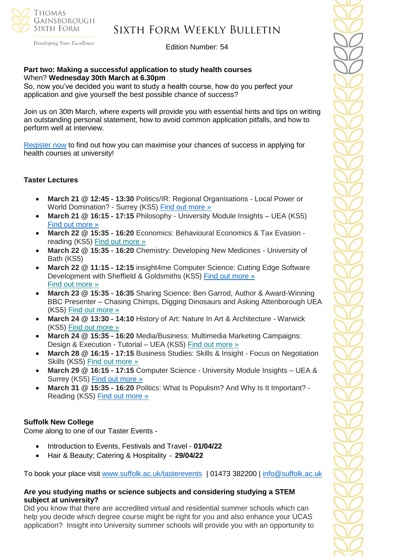

Developing Your Excellence

#### Edition Number: 54

#### **Part two: Making a successful application to study health courses** When? **Wednesday 30th March at 6.30pm**

So, now you've decided you want to study a health course, how do you perfect your application and give yourself the best possible chance of success?

Join us on 30th March, where experts will provide you with essential hints and tips on writing an outstanding personal statement, how to avoid common application pitfalls, and how to perform well at interview.

[Register now](https://www.eventbrite.co.uk/e/making-a-successful-application-to-study-health-courses-tickets-261811153207?aff=odeimcmailchimp&mc_cid=3f24ca3fc0&mc_eid=530f418f3c&goal=0_65c6d67e71-3f24ca3fc0-212136547) to find out how you can maximise your chances of success in applying for health courses at university!

### **Taster Lectures**

- **March 21 @ 12:45 - 13:30** Politics/IR: Regional Organisations Local Power or World Domination? - Surrey (KS5) [Find out more »](https://nam12.safelinks.protection.outlook.com/?url=https%3A%2F%2Fchanneltalent.us10.list-manage.com%2Ftrack%2Fclick%3Fu%3D145837fa6843e0c349598322a%26id%3Dd4fed978eb%26e%3D155232616c&data=04%7C01%7C%7C74437464f1fb431c6f0d08da01a59e9a%7C84df9e7fe9f640afb435aaaaaaaaaaaa%7C1%7C0%7C637824108105664493%7CUnknown%7CTWFpbGZsb3d8eyJWIjoiMC4wLjAwMDAiLCJQIjoiV2luMzIiLCJBTiI6Ik1haWwiLCJXVCI6Mn0%3D%7C3000&sdata=FCw9KpS4uRX7Xzj59cCOfDsXgK%2BHL%2FxXkv0yUbqQONM%3D&reserved=0)
- **March 21 @ 16:15 - 17:15** Philosophy University Module Insights UEA (KS5) [Find out more »](https://nam12.safelinks.protection.outlook.com/?url=https%3A%2F%2Fchanneltalent.us10.list-manage.com%2Ftrack%2Fclick%3Fu%3D145837fa6843e0c349598322a%26id%3D994735b781%26e%3D155232616c&data=04%7C01%7C%7Ca7ac46bbd5794e52165d08da00dc9780%7C84df9e7fe9f640afb435aaaaaaaaaaaa%7C1%7C0%7C637823244674162611%7CUnknown%7CTWFpbGZsb3d8eyJWIjoiMC4wLjAwMDAiLCJQIjoiV2luMzIiLCJBTiI6Ik1haWwiLCJXVCI6Mn0%3D%7C3000&sdata=%2BpKd%2BUK0E8xL92gKztP1XDd3j61zK88gM4utftl2sr4%3D&reserved=0)
- **March 22 @ 15:35 - 16:20** Economics: Behavioural Economics & Tax Evasion reading (KS5) Find out [more](https://channeltalent.us10.list-manage.com/track/click?u=145837fa6843e0c349598322a&id=59b8c8a6ec&e=155232616c) »
- **March 22 @ 15:35 - 16:20** Chemistry: Developing New Medicines University of Bath (KS5)
- **March 22 @ 11:15 - 12:15** insight4me Computer Science: Cutting Edge Software Development with Sheffield & Goldsmiths (KS5) [Find out more »](https://nam12.safelinks.protection.outlook.com/?url=https%3A%2F%2Fchanneltalent.us10.list-manage.com%2Ftrack%2Fclick%3Fu%3D145837fa6843e0c349598322a%26id%3De6a5185708%26e%3D155232616c&data=04%7C01%7C%7C2e8513d613b143a85ebd08da01bc7e52%7C84df9e7fe9f640afb435aaaaaaaaaaaa%7C1%7C0%7C637824206328267943%7CUnknown%7CTWFpbGZsb3d8eyJWIjoiMC4wLjAwMDAiLCJQIjoiV2luMzIiLCJBTiI6Ik1haWwiLCJXVCI6Mn0%3D%7C3000&sdata=HLXt5Mzna5s1K%2BugtFKXwhcQfkueI1zcA26uzr7ZjCw%3D&reserved=0) Find out [more](https://channeltalent.us10.list-manage.com/track/click?u=145837fa6843e0c349598322a&id=6d6b2f6a72&e=ba0e9a2959) »
- **March 23 @ 15:35 - 16:35** Sharing Science: Ben Garrod, Author & Award-Winning BBC Presenter – Chasing Chimps, Digging Dinosaurs and Asking Attenborough UEA (KS5) Find out [more](https://channeltalent.us10.list-manage.com/track/click?u=145837fa6843e0c349598322a&id=ae0d703165&e=ba0e9a2959) »
- **March 24 @ 13:30 - 14:10** History of Art: Nature In Art & Architecture Warwick (KS5) Find out [more](https://channeltalent.us10.list-manage.com/track/click?u=145837fa6843e0c349598322a&id=2bef70bede&e=155232616c) »
- **March 24 @ 15:35 - 16:20** Media/Business: Multimedia Marketing Campaigns: Design & Execution - Tutorial – UEA (KS5) Find out [more](https://channeltalent.us10.list-manage.com/track/click?u=145837fa6843e0c349598322a&id=458d7d3fb0&e=155232616c) »
- **March 28 @ 16:15 - 17:15** Business Studies: Skills & Insight Focus on Negotiation Skills (KS5) Find out [more](https://channeltalent.us10.list-manage.com/track/click?u=145837fa6843e0c349598322a&id=f308f3946f&e=155232616c) »
- **March 29 @ 16:15 - 17:15** Computer Science University Module Insights UEA & Surrey (KS5) [Find out more »](https://nam12.safelinks.protection.outlook.com/?url=https%3A%2F%2Fchanneltalent.us10.list-manage.com%2Ftrack%2Fclick%3Fu%3D145837fa6843e0c349598322a%26id%3D0e37665c46%26e%3D155232616c&data=04%7C01%7C%7C2e8513d613b143a85ebd08da01bc7e52%7C84df9e7fe9f640afb435aaaaaaaaaaaa%7C1%7C0%7C637824206328267943%7CUnknown%7CTWFpbGZsb3d8eyJWIjoiMC4wLjAwMDAiLCJQIjoiV2luMzIiLCJBTiI6Ik1haWwiLCJXVCI6Mn0%3D%7C3000&sdata=ei01dAEG4X2KRRitRi%2FZsg%2BUzFjEHs5rjwshc2DFJ9o%3D&reserved=0)
- **March 31 @ 15:35 - 16:20** Politics: What Is Populism? And Why Is It Important? Reading (KS5) Find out [more](https://channeltalent.us10.list-manage.com/track/click?u=145837fa6843e0c349598322a&id=fe3745d130&e=ba0e9a2959) »

#### **Suffolk New College**

Come along to one of our Taster Events -

- Introduction to Events, Festivals and Travel **01/04/22**
- Hair & Beauty; Catering & Hospitality **29/04/22**

To book your place visit [www.suffolk.ac.uk/tasterevents](http://www.suffolk.ac.uk/tasterevents) | 01473 382200 | [info@suffolk.ac.uk](mailto:info@suffolk.ac.uk)

#### **Are you studying maths or science subjects and considering studying a STEM subject at university?**

Did you know that there are accredited virtual and residential summer schools which can help you decide which degree course might be right for you and also enhance your UCAS application? Insight into University summer schools will provide you with an opportunity to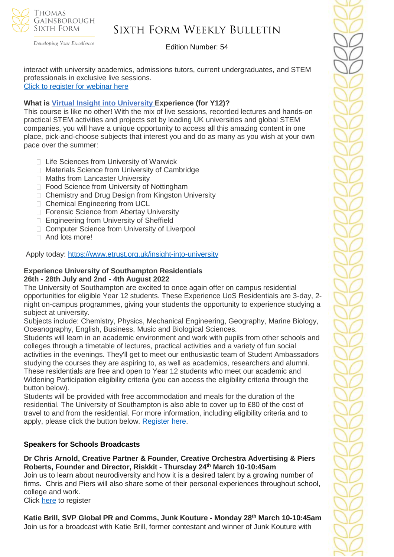

Developing Your Excellence

### Edition Number: 54

interact with university academics, admissions tutors, current undergraduates, and STEM professionals in exclusive live sessions. [Click to register for webinar here](https://outlook.live.com/mail/0/inbox/id/AQMkADAwATZiZmYAZC04MjAzLTJjMTMtMDACLTAwCgBGAAADqKWOCG516ECS3JyZ610tTAcAInbB0CdhXEamB%2BffnW%2BN0QAAAgEMAAAAInbB0CdhXEamB%2BffnW%2BN0QAFV3WqUwAAAA%3D%3D)

### **What is Virtual Insight into [University](https://www.etrust.org.uk/insight-into-university) Experience (for Y12)?**

This course is like no other! With the mix of live sessions, recorded lectures and hands-on practical STEM activities and projects set by leading UK universities and global STEM companies, you will have a unique opportunity to access all this amazing content in one place, pick-and-choose subjects that interest you and do as many as you wish at your own pace over the summer:

- □ Life Sciences from University of Warwick
- □ Materials Science from University of Cambridge
- □ Maths from Lancaster University
- □ Food Science from University of Nottingham
- □ Chemistry and Drug Design from Kingston University
- □ Chemical Engineering from UCL
- □ Forensic Science from Abertay University
- □ Engineering from University of Sheffield
- □ Computer Science from University of Liverpool
- □ And lots more!

Apply today: <https://www.etrust.org.uk/insight-into-university>

#### **Experience University of Southampton Residentials 26th - 28th July and 2nd - 4th August 2022**

The University of Southampton are excited to once again offer on campus residential opportunities for eligible Year 12 students. These Experience UoS Residentials are 3-day, 2 night on-campus programmes, giving your students the opportunity to experience studying a subject at university.

Subjects include: Chemistry, Physics, Mechanical Engineering, Geography, Marine Biology, Oceanography, English, Business, Music and Biological Sciences.

Students will learn in an academic environment and work with pupils from other schools and colleges through a timetable of lectures, practical activities and a variety of fun social activities in the evenings. They'll get to meet our enthusiastic team of Student Ambassadors studying the courses they are aspiring to, as well as academics, researchers and alumni. These residentials are free and open to Year 12 students who meet our academic and Widening Participation eligibility criteria (you can access the eligibility criteria through the button below).

Students will be provided with free accommodation and meals for the duration of the residential. The University of Southampton is also able to cover up to £80 of the cost of travel to and from the residential. For more information, including eligibility criteria and to apply, please click the button below. [Register here.](https://www.southampton.ac.uk/schools-colleges/experience-summer-event.page+)

### **Speakers for Schools Broadcasts**

**Dr Chris Arnold, Creative Partner & Founder, Creative Orchestra Advertising & Piers Roberts, Founder and Director, Riskkit - Thursday 24th March 10-10:45am**

Join us to learn about neurodiversity and how it is a desired talent by a growing number of firms. Chris and Piers will also share some of their personal experiences throughout school, college and work.

Click [here](https://forms.office.com/r/QG2HLvARJv) to register

**Katie Brill, SVP Global PR and Comms, Junk Kouture - Monday 28th March 10-10:45am** Join us for a broadcast with Katie Brill, former contestant and winner of Junk Kouture with